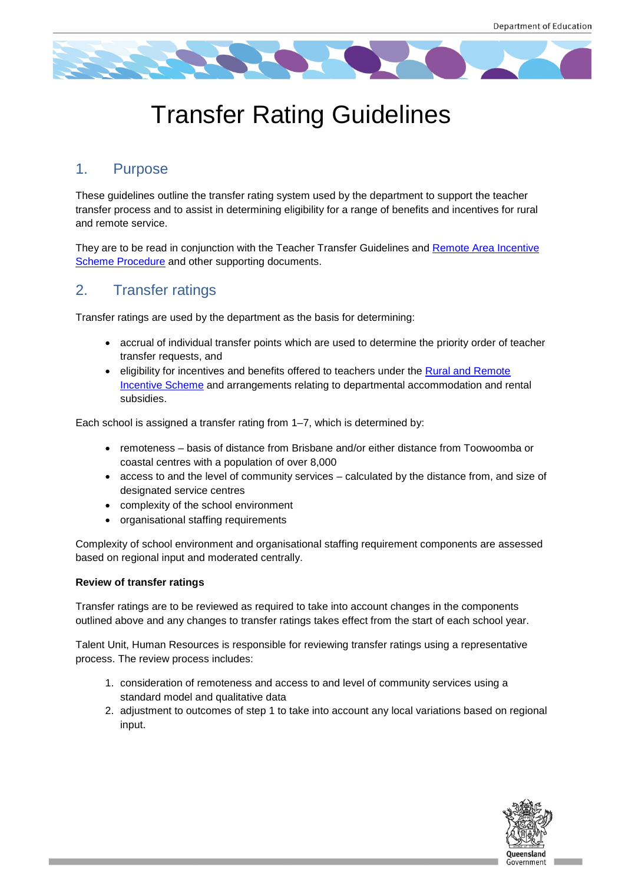

# Transfer Rating Guidelines

### 1. Purpose

These guidelines outline the transfer rating system used by the department to support the teacher transfer process and to assist in determining eligibility for a range of benefits and incentives for rural and remote service.

They are to be read in conjunction with the Teacher Transfer Guidelines and [Remote Area Incentive](http://ppr.det.qld.gov.au/pif/supdoc/Documents/rais-guideline.docx)  [Scheme Procedure](http://ppr.det.qld.gov.au/pif/supdoc/Documents/rais-guideline.docx) and other supporting documents.

### 2. Transfer ratings

Transfer ratings are used by the department as the basis for determining:

- accrual of individual transfer points which are used to determine the priority order of teacher transfer requests, and
- eligibility for incentives and benefits offered to teachers under the Rural and Remote [Incentive Scheme](http://ppr.det.qld.gov.au/pif/supdoc/Documents/rais-guideline.docx) and arrangements relating to departmental accommodation and rental subsidies.

Each school is assigned a transfer rating from 1–7, which is determined by:

- remoteness basis of distance from Brisbane and/or either distance from Toowoomba or coastal centres with a population of over 8,000
- access to and the level of community services calculated by the distance from, and size of designated service centres
- complexity of the school environment
- organisational staffing requirements

Complexity of school environment and organisational staffing requirement components are assessed based on regional input and moderated centrally.

#### **Review of transfer ratings**

Transfer ratings are to be reviewed as required to take into account changes in the components outlined above and any changes to transfer ratings takes effect from the start of each school year.

Talent Unit, Human Resources is responsible for reviewing transfer ratings using a representative process. The review process includes:

- 1. consideration of remoteness and access to and level of community services using a standard model and qualitative data
- <span id="page-0-0"></span>2. adjustment to outcomes of step 1 to take into account any local variations based on regional input.

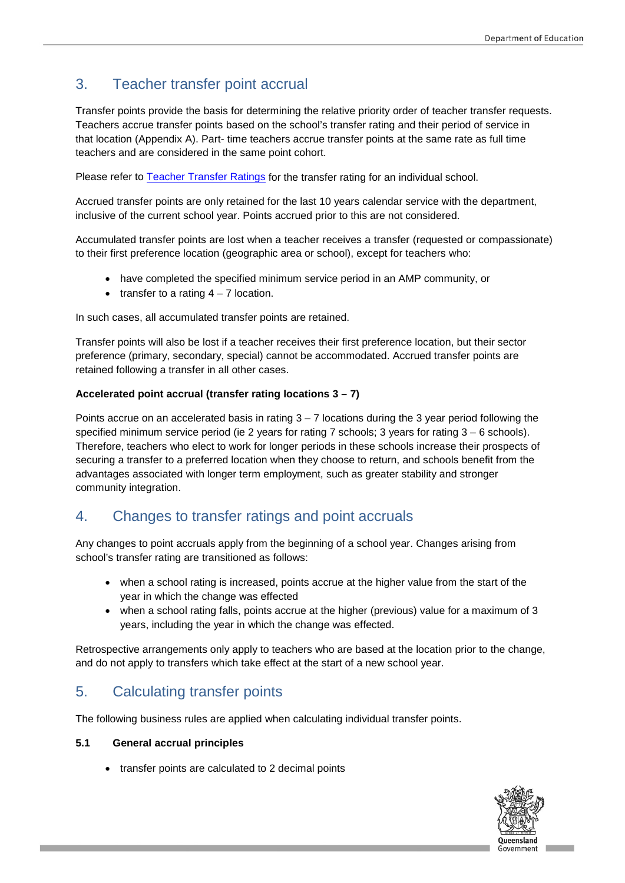### 3. Teacher transfer point accrual

Transfer points provide the basis for determining the relative priority order of teacher transfer requests. Teachers accrue transfer points based on the school's transfer rating and their period of service in that location (Appendix A). Part- time teachers accrue transfer points at the same rate as full time teachers and are considered in the same point cohort.

Please refer to [Teacher Transfer Ratings](https://intranet.qed.qld.gov.au/Services/HumanResources/payrollhr/careers/Documents/current-teacher-transfer-ratings.xls) for the transfer rating for an individual school.

Accrued transfer points are only retained for the last 10 years calendar service with the department, inclusive of the current school year. Points accrued prior to this are not considered.

Accumulated transfer points are lost when a teacher receives a transfer (requested or compassionate) to their first preference location (geographic area or school), except for teachers who:

- have completed the specified minimum service period in an AMP community, or
- transfer to a rating  $4 7$  location.

In such cases, all accumulated transfer points are retained.

Transfer points will also be lost if a teacher receives their first preference location, but their sector preference (primary, secondary, special) cannot be accommodated. Accrued transfer points are retained following a transfer in all other cases.

#### **Accelerated point accrual (transfer rating locations 3 – 7)**

Points accrue on an accelerated basis in rating  $3 - 7$  locations during the 3 year period following the specified minimum service period (ie 2 years for rating 7 schools; 3 years for rating 3 – 6 schools). Therefore, teachers who elect to work for longer periods in these schools increase their prospects of securing a transfer to a preferred location when they choose to return, and schools benefit from the advantages associated with longer term employment, such as greater stability and stronger community integration.

### 4. Changes to transfer ratings and point accruals

Any changes to point accruals apply from the beginning of a school year. Changes arising from school's transfer rating are transitioned as follows:

- when a school rating is increased, points accrue at the higher value from the start of the year in which the change was effected
- when a school rating falls, points accrue at the higher (previous) value for a maximum of 3 years, including the year in which the change was effected.

Retrospective arrangements only apply to teachers who are based at the location prior to the change, and do not apply to transfers which take effect at the start of a new school year.

### 5. Calculating transfer points

The following business rules are applied when calculating individual transfer points.

#### **5.1 General accrual principles**

• transfer points are calculated to 2 decimal points

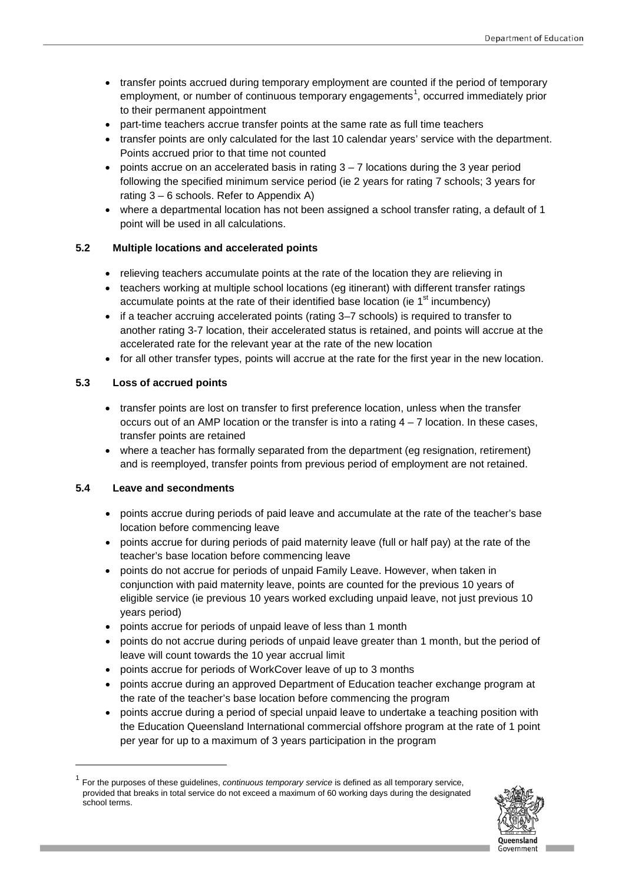- transfer points accrued during temporary employment are counted if the period of temporary employment, or number of continuous temporary engagements<sup>[1](#page-0-0)</sup>, occurred immediately prior to their permanent appointment
- part-time teachers accrue transfer points at the same rate as full time teachers
- transfer points are only calculated for the last 10 calendar years' service with the department. Points accrued prior to that time not counted
- points accrue on an accelerated basis in rating  $3 7$  locations during the 3 year period following the specified minimum service period (ie 2 years for rating 7 schools; 3 years for rating 3 – 6 schools. Refer to Appendix A)
- where a departmental location has not been assigned a school transfer rating, a default of 1 point will be used in all calculations.

#### **5.2 Multiple locations and accelerated points**

- relieving teachers accumulate points at the rate of the location they are relieving in
- teachers working at multiple school locations (eg itinerant) with different transfer ratings accumulate points at the rate of their identified base location (ie  $1<sup>st</sup>$  incumbency)
- if a teacher accruing accelerated points (rating 3–7 schools) is required to transfer to another rating 3-7 location, their accelerated status is retained, and points will accrue at the accelerated rate for the relevant year at the rate of the new location
- for all other transfer types, points will accrue at the rate for the first year in the new location.

#### **5.3 Loss of accrued points**

- transfer points are lost on transfer to first preference location, unless when the transfer occurs out of an AMP location or the transfer is into a rating 4 – 7 location. In these cases, transfer points are retained
- where a teacher has formally separated from the department (eq resignation, retirement) and is reemployed, transfer points from previous period of employment are not retained.

#### **5.4 Leave and secondments**

-

- points accrue during periods of paid leave and accumulate at the rate of the teacher's base location before commencing leave
- points accrue for during periods of paid maternity leave (full or half pay) at the rate of the teacher's base location before commencing leave
- points do not accrue for periods of unpaid Family Leave. However, when taken in conjunction with paid maternity leave, points are counted for the previous 10 years of eligible service (ie previous 10 years worked excluding unpaid leave, not just previous 10 years period)
- points accrue for periods of unpaid leave of less than 1 month
- points do not accrue during periods of unpaid leave greater than 1 month, but the period of leave will count towards the 10 year accrual limit
- points accrue for periods of WorkCover leave of up to 3 months
- points accrue during an approved Department of Education teacher exchange program at the rate of the teacher's base location before commencing the program
- points accrue during a period of special unpaid leave to undertake a teaching position with the Education Queensland International commercial offshore program at the rate of 1 point per year for up to a maximum of 3 years participation in the program

<sup>1</sup> For the purposes of these guidelines, *continuous temporary service* is defined as all temporary service, provided that breaks in total service do not exceed a maximum of 60 working days during the designated school terms.

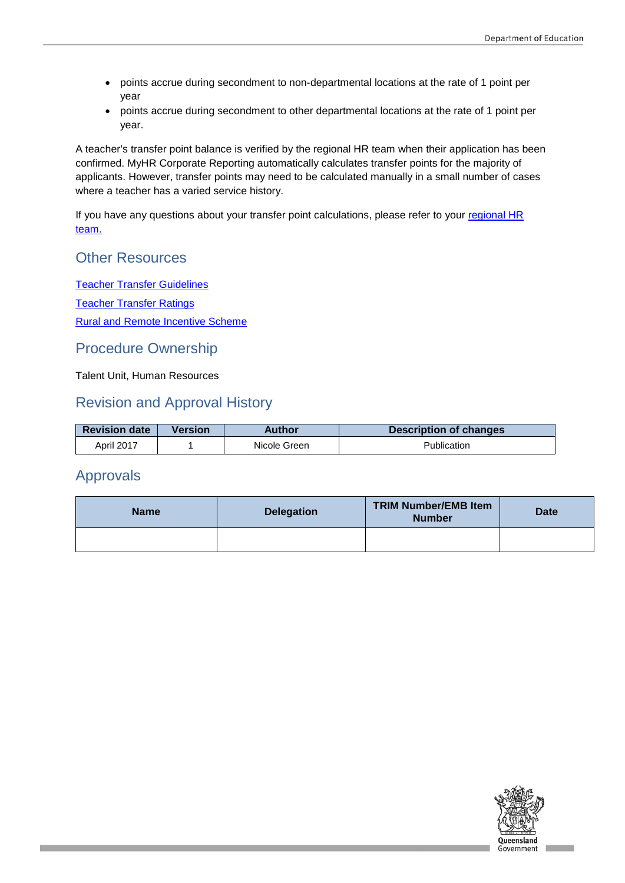- points accrue during secondment to non-departmental locations at the rate of 1 point per year
- points accrue during secondment to other departmental locations at the rate of 1 point per year.

A teacher's transfer point balance is verified by the regional HR team when their application has been confirmed. MyHR Corporate Reporting automatically calculates transfer points for the majority of applicants. However, transfer points may need to be calculated manually in a small number of cases where a teacher has a varied service history.

If you have any questions about your transfer point calculations, please refer to your [regional HR](https://intranet.qed.qld.gov.au/Services/HumanResources/Forms/Documents/RegionalOfficeContactDetails.pdf)  [team.](https://intranet.qed.qld.gov.au/Services/HumanResources/Forms/Documents/RegionalOfficeContactDetails.pdf)

### Other Resources

[Teacher Transfer Guidelines](https://intranet.qed.qld.gov.au/Services/HumanResources/payrollhr/careers/Documents/teacher-transfer-guidelines.pdf) [Teacher Transfer Ratings](https://intranet.qed.qld.gov.au/Services/HumanResources/payrollhr/careers/Documents/current-teacher-transfer-ratings.xls) [Rural and Remote Incentive Scheme](http://ppr.det.qld.gov.au/pif/supdoc/Documents/rais-guideline.docx)

### Procedure Ownership

Talent Unit, Human Resources

### Revision and Approval History

| <b>Revision date</b> | Version | Author       | <b>Description of changes</b> |
|----------------------|---------|--------------|-------------------------------|
| April 2017           |         | Nicole Green | Publication                   |

### Approvals

| <b>Name</b> | <b>Delegation</b> | <b>TRIM Number/EMB Item</b><br><b>Number</b> | <b>Date</b> |  |
|-------------|-------------------|----------------------------------------------|-------------|--|
|             |                   |                                              |             |  |